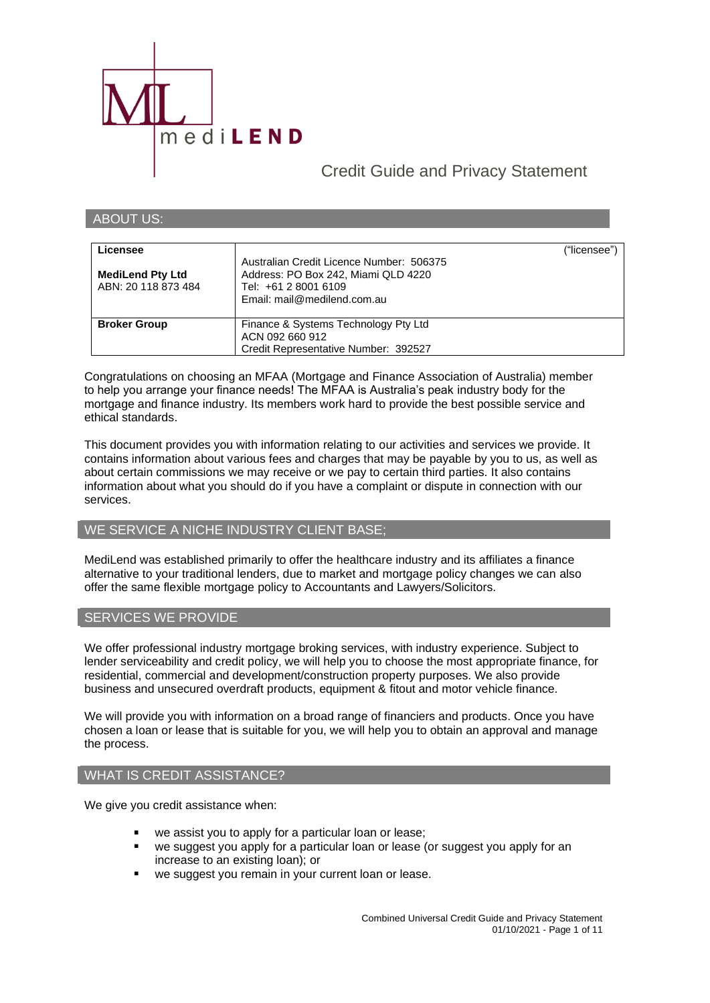

ABOUT US:

# Credit Guide and Privacy Statement

| Licensee<br><b>MediLend Pty Ltd</b><br>ABN: 20 118 873 484 | Australian Credit Licence Number: 506375<br>Address: PO Box 242, Miami QLD 4220<br>Tel: +61 2 8001 6109<br>Email: mail@medilend.com.au | ("licensee") |
|------------------------------------------------------------|----------------------------------------------------------------------------------------------------------------------------------------|--------------|
| <b>Broker Group</b>                                        | Finance & Systems Technology Pty Ltd<br>ACN 092 660 912<br>Credit Representative Number: 392527                                        |              |

Congratulations on choosing an MFAA (Mortgage and Finance Association of Australia) member to help you arrange your finance needs! The MFAA is Australia's peak industry body for the mortgage and finance industry. Its members work hard to provide the best possible service and ethical standards.

This document provides you with information relating to our activities and services we provide. It contains information about various fees and charges that may be payable by you to us, as well as about certain commissions we may receive or we pay to certain third parties. It also contains information about what you should do if you have a complaint or dispute in connection with our services.

### WE SERVICE A NICHE INDUSTRY CLIENT BASE;

MediLend was established primarily to offer the healthcare industry and its affiliates a finance alternative to your traditional lenders, due to market and mortgage policy changes we can also offer the same flexible mortgage policy to Accountants and Lawyers/Solicitors.

### SERVICES WE PROVIDE

We offer professional industry mortgage broking services, with industry experience. Subject to lender serviceability and credit policy, we will help you to choose the most appropriate finance, for residential, commercial and development/construction property purposes. We also provide business and unsecured overdraft products, equipment & fitout and motor vehicle finance.

We will provide you with information on a broad range of financiers and products. Once you have chosen a loan or lease that is suitable for you, we will help you to obtain an approval and manage the process.

### WHAT IS CREDIT ASSISTANCE?

We give you credit assistance when:

- we assist you to apply for a particular loan or lease;
- we suggest you apply for a particular loan or lease (or suggest you apply for an increase to an existing loan); or
- we suggest you remain in your current loan or lease.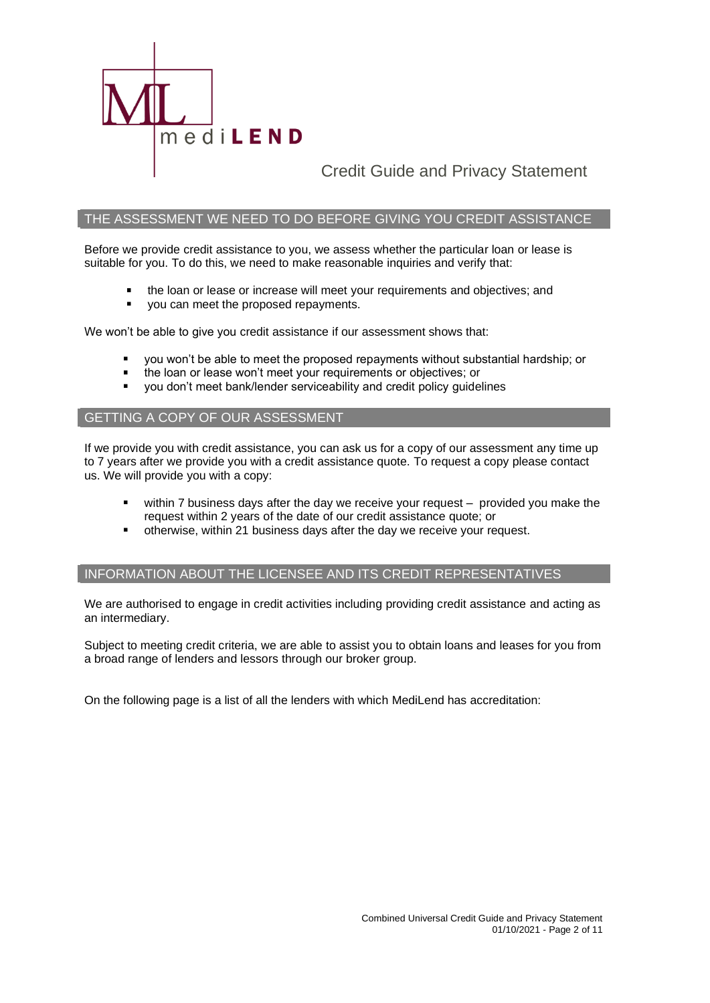

### THE ASSESSMENT WE NEED TO DO BEFORE GIVING YOU CREDIT ASSISTANCE

Before we provide credit assistance to you, we assess whether the particular loan or lease is suitable for you. To do this, we need to make reasonable inquiries and verify that:

- the loan or lease or increase will meet your requirements and objectives; and
- $\blacksquare$ you can meet the proposed repayments.

We won't be able to give you credit assistance if our assessment shows that:

- you won't be able to meet the proposed repayments without substantial hardship; or
- the loan or lease won't meet your requirements or objectives; or
- you don't meet bank/lender serviceability and credit policy guidelines

### GETTING A COPY OF OUR ASSESSMENT

If we provide you with credit assistance, you can ask us for a copy of our assessment any time up to 7 years after we provide you with a credit assistance quote. To request a copy please contact us. We will provide you with a copy:

- within 7 business days after the day we receive your request provided you make the request within 2 years of the date of our credit assistance quote; or
- otherwise, within 21 business days after the day we receive your request.

### INFORMATION ABOUT THE LICENSEE AND ITS CREDIT REPRESENTATIVES

We are authorised to engage in credit activities including providing credit assistance and acting as an intermediary.

Subject to meeting credit criteria, we are able to assist you to obtain loans and leases for you from a broad range of lenders and lessors through our broker group.

On the following page is a list of all the lenders with which MediLend has accreditation: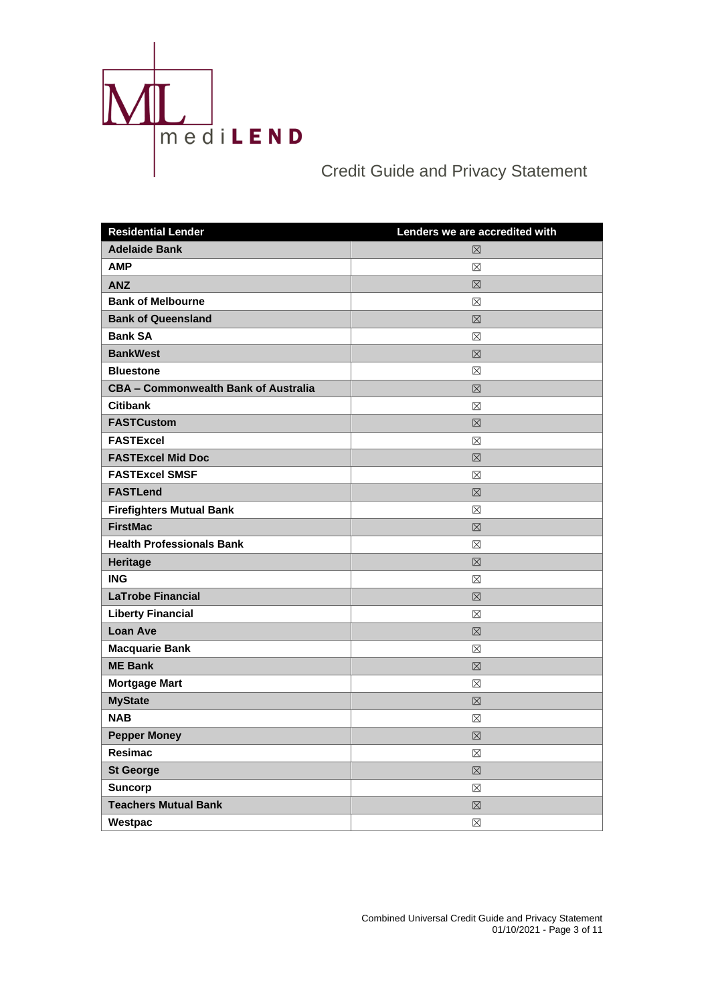

| <b>Residential Lender</b>                   | Lenders we are accredited with |
|---------------------------------------------|--------------------------------|
| <b>Adelaide Bank</b>                        | 冈                              |
| <b>AMP</b>                                  | $\boxtimes$                    |
| <b>ANZ</b>                                  | 区                              |
| <b>Bank of Melbourne</b>                    | $\boxtimes$                    |
| <b>Bank of Queensland</b>                   | 区                              |
| <b>Bank SA</b>                              | $\boxtimes$                    |
| <b>BankWest</b>                             | 区                              |
| <b>Bluestone</b>                            | $\boxtimes$                    |
| <b>CBA - Commonwealth Bank of Australia</b> | 区                              |
| <b>Citibank</b>                             | $\boxtimes$                    |
| <b>FASTCustom</b>                           | 区                              |
| <b>FASTExcel</b>                            | $\boxtimes$                    |
| <b>FASTExcel Mid Doc</b>                    | 区                              |
| <b>FASTExcel SMSF</b>                       | $\boxtimes$                    |
| <b>FASTLend</b>                             | 区                              |
| <b>Firefighters Mutual Bank</b>             | $\boxtimes$                    |
| <b>FirstMac</b>                             | 区                              |
| <b>Health Professionals Bank</b>            | ⊠                              |
| Heritage                                    | $\boxtimes$                    |
| <b>ING</b>                                  | $\boxtimes$                    |
| <b>LaTrobe Financial</b>                    | 区                              |
| <b>Liberty Financial</b>                    | ⊠                              |
| <b>Loan Ave</b>                             | $\boxtimes$                    |
| <b>Macquarie Bank</b>                       | ⊠                              |
| <b>ME Bank</b>                              | $\boxtimes$                    |
| <b>Mortgage Mart</b>                        | $\boxtimes$                    |
| <b>MyState</b>                              | 区                              |
| <b>NAB</b>                                  | $\boxtimes$                    |
| <b>Pepper Money</b>                         | 冈                              |
| <b>Resimac</b>                              | $\boxtimes$                    |
| <b>St George</b>                            | 冈                              |
| <b>Suncorp</b>                              | ⊠                              |
| <b>Teachers Mutual Bank</b>                 | 冈                              |
| Westpac                                     | ⊠                              |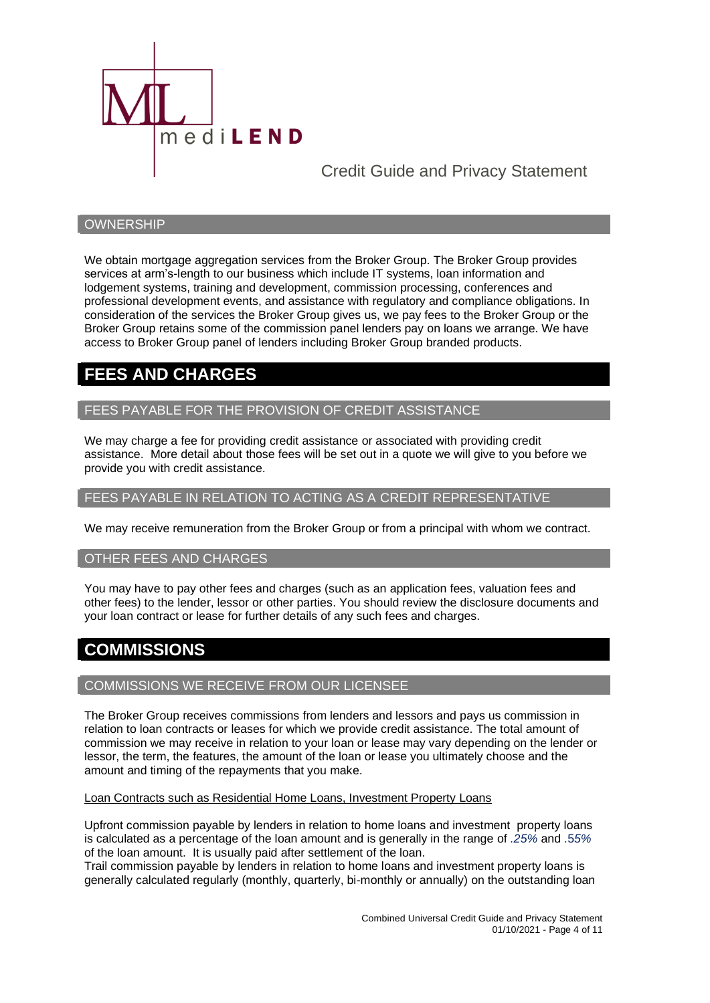

### **OWNERSHIP**

We obtain mortgage aggregation services from the Broker Group. The Broker Group provides services at arm's-length to our business which include IT systems, loan information and lodgement systems, training and development, commission processing, conferences and professional development events, and assistance with regulatory and compliance obligations. In consideration of the services the Broker Group gives us, we pay fees to the Broker Group or the Broker Group retains some of the commission panel lenders pay on loans we arrange. We have access to Broker Group panel of lenders including Broker Group branded products.

# **FEES AND CHARGES**

### FEES PAYABLE FOR THE PROVISION OF CREDIT ASSISTANCE

We may charge a fee for providing credit assistance or associated with providing credit assistance. More detail about those fees will be set out in a quote we will give to you before we provide you with credit assistance.

### FEES PAYABLE IN RELATION TO ACTING AS A CREDIT REPRESENTATIVE

We may receive remuneration from the Broker Group or from a principal with whom we contract.

### OTHER FEES AND CHARGES

You may have to pay other fees and charges (such as an application fees, valuation fees and other fees) to the lender, lessor or other parties. You should review the disclosure documents and your loan contract or lease for further details of any such fees and charges.

# **COMMISSIONS**

### COMMISSIONS WE RECEIVE FROM OUR LICENSEE

The Broker Group receives commissions from lenders and lessors and pays us commission in relation to loan contracts or leases for which we provide credit assistance. The total amount of commission we may receive in relation to your loan or lease may vary depending on the lender or lessor, the term, the features, the amount of the loan or lease you ultimately choose and the amount and timing of the repayments that you make.

Loan Contracts such as Residential Home Loans, Investment Property Loans

Upfront commission payable by lenders in relation to home loans and investment property loans is calculated as a percentage of the loan amount and is generally in the range of *.25%* and .5*5%* of the loan amount. It is usually paid after settlement of the loan.

Trail commission payable by lenders in relation to home loans and investment property loans is generally calculated regularly (monthly, quarterly, bi-monthly or annually) on the outstanding loan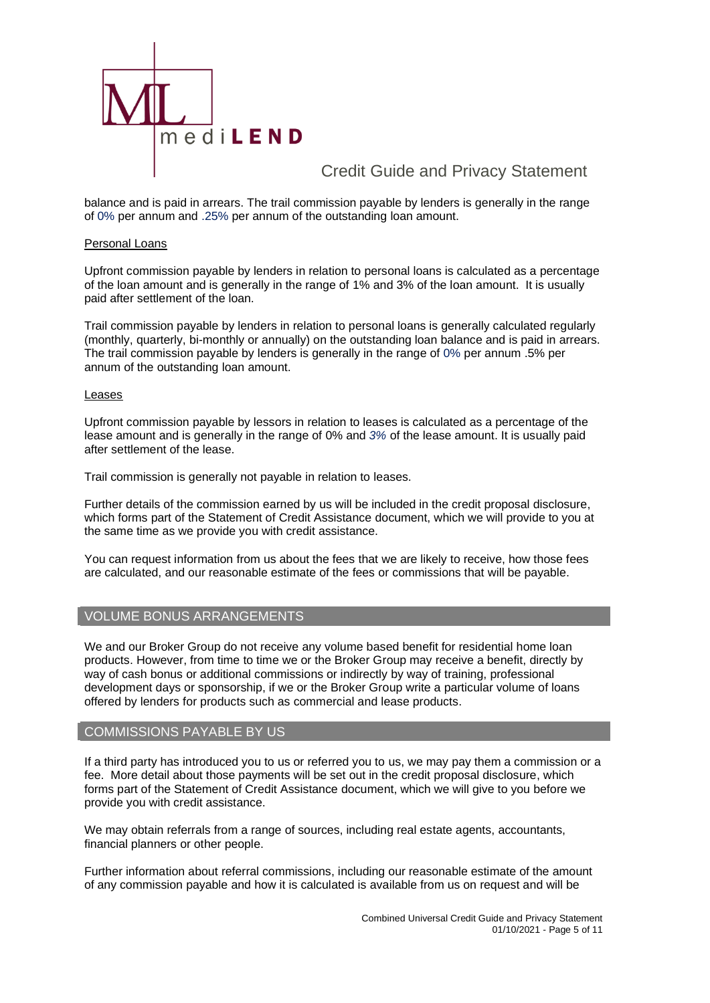

balance and is paid in arrears. The trail commission payable by lenders is generally in the range of 0% per annum and .25% per annum of the outstanding loan amount.

### Personal Loans

Upfront commission payable by lenders in relation to personal loans is calculated as a percentage of the loan amount and is generally in the range of 1% and 3% of the loan amount. It is usually paid after settlement of the loan.

Trail commission payable by lenders in relation to personal loans is generally calculated regularly (monthly, quarterly, bi-monthly or annually) on the outstanding loan balance and is paid in arrears. The trail commission payable by lenders is generally in the range of 0% per annum .5% per annum of the outstanding loan amount.

### Leases

Upfront commission payable by lessors in relation to leases is calculated as a percentage of the lease amount and is generally in the range of 0% and *3%* of the lease amount. It is usually paid after settlement of the lease.

Trail commission is generally not payable in relation to leases.

Further details of the commission earned by us will be included in the credit proposal disclosure, which forms part of the Statement of Credit Assistance document, which we will provide to you at the same time as we provide you with credit assistance.

You can request information from us about the fees that we are likely to receive, how those fees are calculated, and our reasonable estimate of the fees or commissions that will be payable.

### VOLUME BONUS ARRANGEMENTS

We and our Broker Group do not receive any volume based benefit for residential home loan products. However, from time to time we or the Broker Group may receive a benefit, directly by way of cash bonus or additional commissions or indirectly by way of training, professional development days or sponsorship, if we or the Broker Group write a particular volume of loans offered by lenders for products such as commercial and lease products.

### COMMISSIONS PAYABLE BY US

If a third party has introduced you to us or referred you to us, we may pay them a commission or a fee. More detail about those payments will be set out in the credit proposal disclosure, which forms part of the Statement of Credit Assistance document, which we will give to you before we provide you with credit assistance.

We may obtain referrals from a range of sources, including real estate agents, accountants, financial planners or other people.

Further information about referral commissions, including our reasonable estimate of the amount of any commission payable and how it is calculated is available from us on request and will be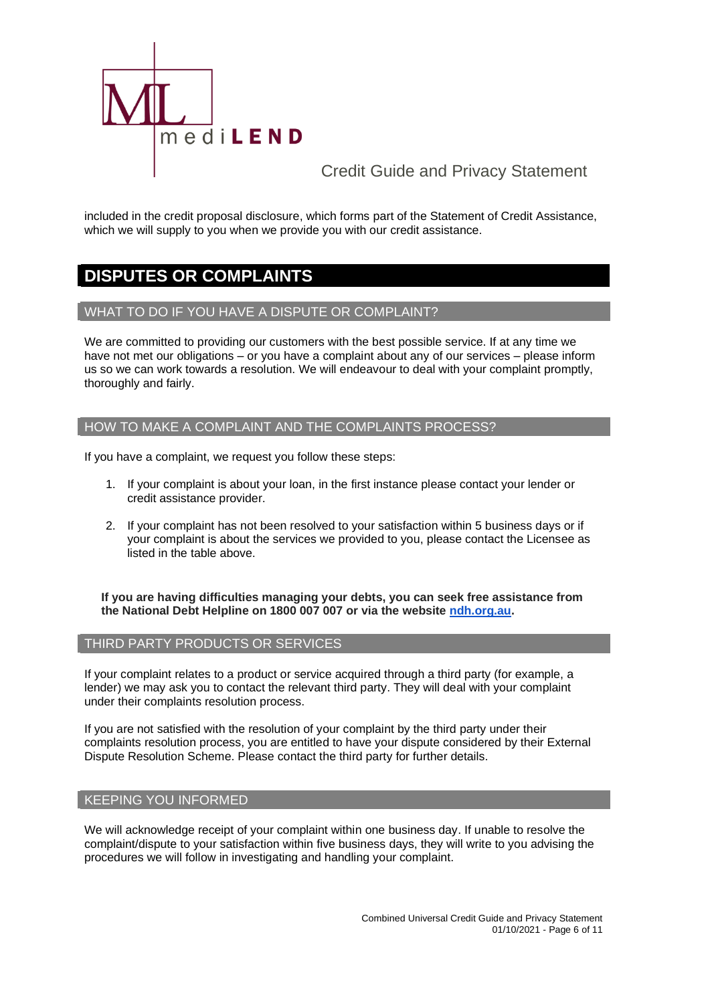

included in the credit proposal disclosure, which forms part of the Statement of Credit Assistance, which we will supply to you when we provide you with our credit assistance.

# **DISPUTES OR COMPLAINTS**

### WHAT TO DO IF YOU HAVE A DISPUTE OR COMPLAINT?

We are committed to providing our customers with the best possible service. If at any time we have not met our obligations – or you have a complaint about any of our services – please inform us so we can work towards a resolution. We will endeavour to deal with your complaint promptly, thoroughly and fairly.

### HOW TO MAKE A COMPLAINT AND THE COMPLAINTS PROCESS?

If you have a complaint, we request you follow these steps:

- 1. If your complaint is about your loan, in the first instance please contact your lender or credit assistance provider.
- 2. If your complaint has not been resolved to your satisfaction within 5 business days or if your complaint is about the services we provided to you, please contact the Licensee as listed in the table above.

**If you are having difficulties managing your debts, you can seek free assistance from the National Debt Helpline on 1800 007 007 or via the website [ndh.org.au.](http://ndh.org.au/)**

### THIRD PARTY PRODUCTS OR SERVICES

If your complaint relates to a product or service acquired through a third party (for example, a lender) we may ask you to contact the relevant third party. They will deal with your complaint under their complaints resolution process.

If you are not satisfied with the resolution of your complaint by the third party under their complaints resolution process, you are entitled to have your dispute considered by their External Dispute Resolution Scheme. Please contact the third party for further details.

### KEEPING YOU INFORMED

We will acknowledge receipt of your complaint within one business day. If unable to resolve the complaint/dispute to your satisfaction within five business days, they will write to you advising the procedures we will follow in investigating and handling your complaint.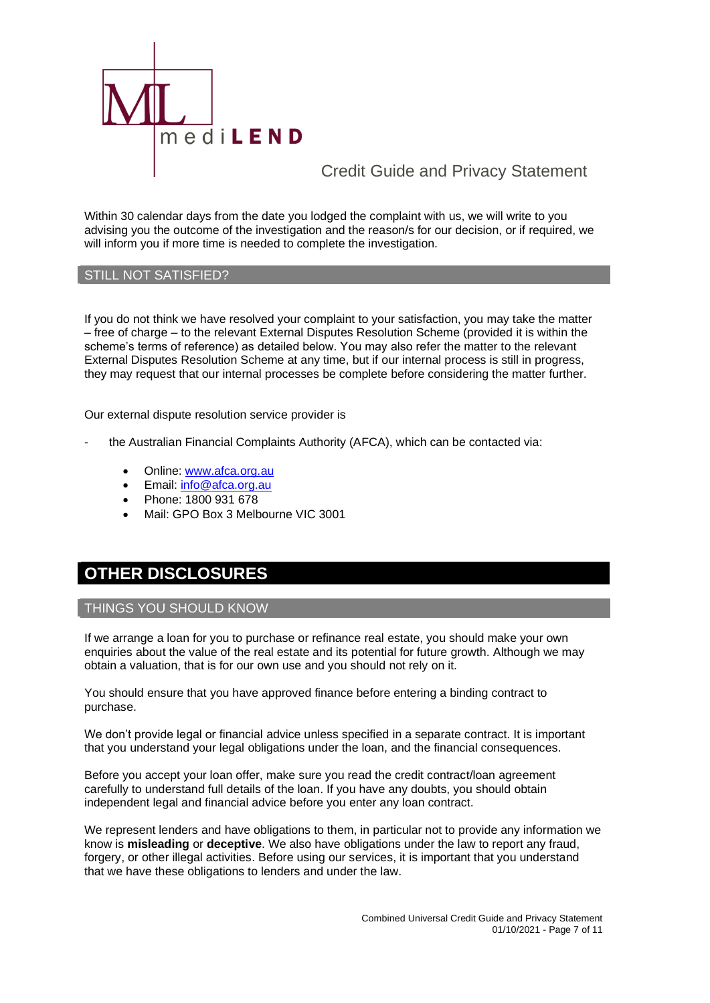

Within 30 calendar days from the date you lodged the complaint with us, we will write to you advising you the outcome of the investigation and the reason/s for our decision, or if required, we will inform you if more time is needed to complete the investigation.

### STILL NOT SATISFIED?

If you do not think we have resolved your complaint to your satisfaction, you may take the matter – free of charge – to the relevant External Disputes Resolution Scheme (provided it is within the scheme's terms of reference) as detailed below. You may also refer the matter to the relevant External Disputes Resolution Scheme at any time, but if our internal process is still in progress, they may request that our internal processes be complete before considering the matter further.

Our external dispute resolution service provider is

- the Australian Financial Complaints Authority (AFCA), which can be contacted via:
	- Online: [www.afca.org.au](http://www.afca.org.au/)
	- Email: [info@afca.org.au](mailto:info@afc.org.au)
	- Phone: 1800 931 678
	- Mail: GPO Box 3 Melbourne VIC 3001

# **OTHER DISCLOSURES**

### THINGS YOU SHOULD KNOW

If we arrange a loan for you to purchase or refinance real estate, you should make your own enquiries about the value of the real estate and its potential for future growth. Although we may obtain a valuation, that is for our own use and you should not rely on it.

You should ensure that you have approved finance before entering a binding contract to purchase.

We don't provide legal or financial advice unless specified in a separate contract. It is important that you understand your legal obligations under the loan, and the financial consequences.

Before you accept your loan offer, make sure you read the credit contract/loan agreement carefully to understand full details of the loan. If you have any doubts, you should obtain independent legal and financial advice before you enter any loan contract.

We represent lenders and have obligations to them, in particular not to provide any information we know is **misleading** or **deceptive**. We also have obligations under the law to report any fraud, forgery, or other illegal activities. Before using our services, it is important that you understand that we have these obligations to lenders and under the law.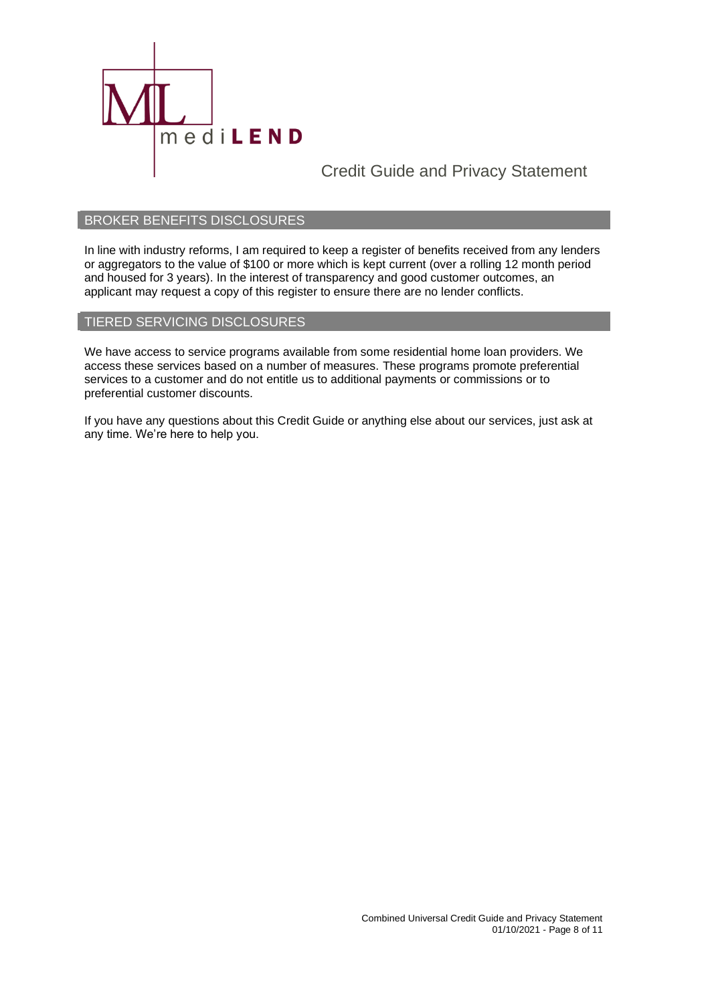

### BROKER BENEFITS DISCLOSURES

In line with industry reforms, I am required to keep a register of benefits received from any lenders or aggregators to the value of \$100 or more which is kept current (over a rolling 12 month period and housed for 3 years). In the interest of transparency and good customer outcomes, an applicant may request a copy of this register to ensure there are no lender conflicts.

### TIERED SERVICING DISCLOSURES

We have access to service programs available from some residential home loan providers. We access these services based on a number of measures. These programs promote preferential services to a customer and do not entitle us to additional payments or commissions or to preferential customer discounts.

If you have any questions about this Credit Guide or anything else about our services, just ask at any time. We're here to help you.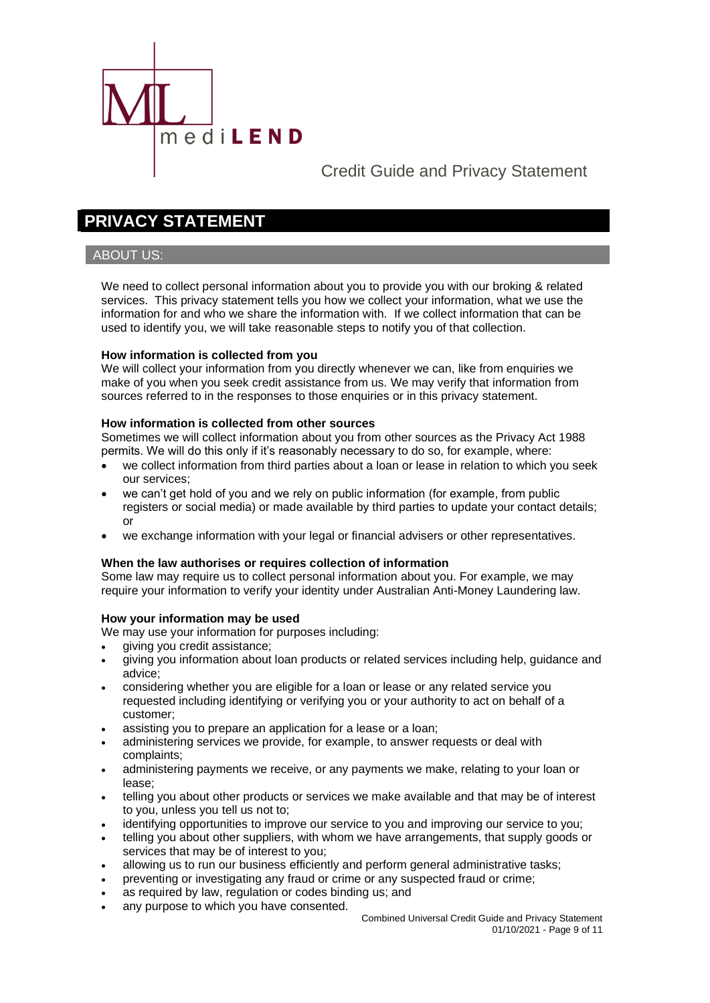

# **PRIVACY STATEMENT**

### ABOUT US:

We need to collect personal information about you to provide you with our broking & related services. This privacy statement tells you how we collect your information, what we use the information for and who we share the information with. If we collect information that can be used to identify you, we will take reasonable steps to notify you of that collection.

### **How information is collected from you**

We will collect your information from you directly whenever we can, like from enquiries we make of you when you seek credit assistance from us. We may verify that information from sources referred to in the responses to those enquiries or in this privacy statement.

### **How information is collected from other sources**

Sometimes we will collect information about you from other sources as the Privacy Act 1988 permits. We will do this only if it's reasonably necessary to do so, for example, where:

- we collect information from third parties about a loan or lease in relation to which you seek our services;
- we can't get hold of you and we rely on public information (for example, from public registers or social media) or made available by third parties to update your contact details; or
- we exchange information with your legal or financial advisers or other representatives.

### **When the law authorises or requires collection of information**

Some law may require us to collect personal information about you. For example, we may require your information to verify your identity under Australian Anti-Money Laundering law.

### **How your information may be used**

We may use your information for purposes including:

- giving you credit assistance;
- giving you information about loan products or related services including help, guidance and advice;
- considering whether you are eligible for a loan or lease or any related service you requested including identifying or verifying you or your authority to act on behalf of a customer;
- assisting you to prepare an application for a lease or a loan;
- administering services we provide, for example, to answer requests or deal with complaints;
- administering payments we receive, or any payments we make, relating to your loan or lease;
- telling you about other products or services we make available and that may be of interest to you, unless you tell us not to;
- identifying opportunities to improve our service to you and improving our service to you;
- telling you about other suppliers, with whom we have arrangements, that supply goods or services that may be of interest to you;
- allowing us to run our business efficiently and perform general administrative tasks;
- preventing or investigating any fraud or crime or any suspected fraud or crime;
- as required by law, regulation or codes binding us; and
- any purpose to which you have consented.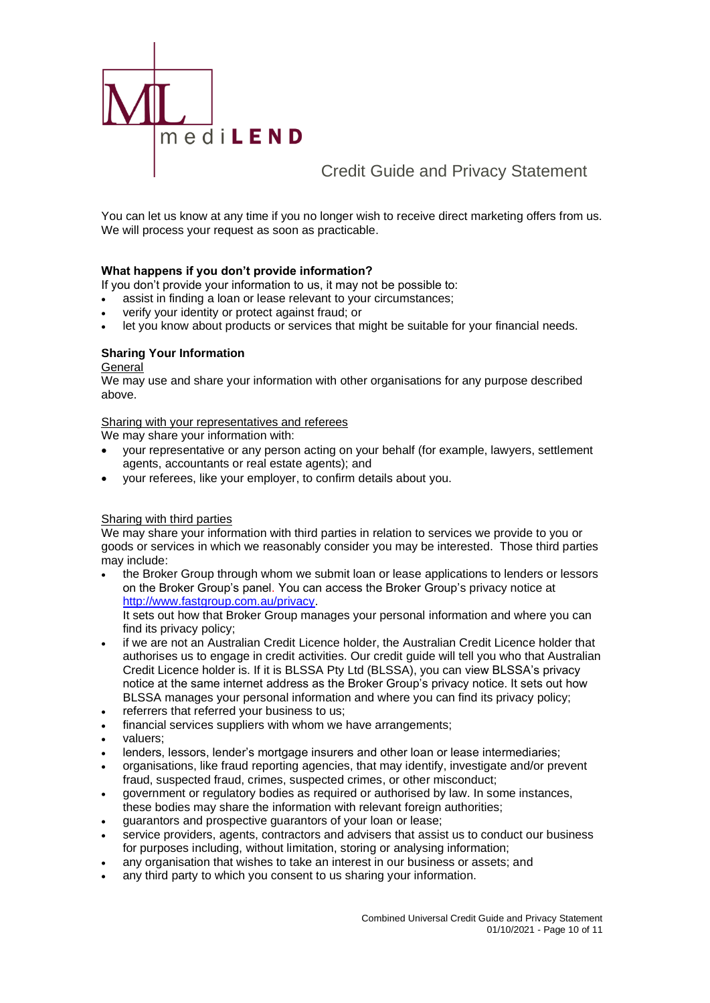

You can let us know at any time if you no longer wish to receive direct marketing offers from us. We will process your request as soon as practicable.

### **What happens if you don't provide information?**

- If you don't provide your information to us, it may not be possible to:
- assist in finding a loan or lease relevant to your circumstances;
- verify your identity or protect against fraud; or
- let you know about products or services that might be suitable for your financial needs.

### **Sharing Your Information**

### General

We may use and share your information with other organisations for any purpose described above.

### Sharing with your representatives and referees

We may share your information with:

- your representative or any person acting on your behalf (for example, lawyers, settlement agents, accountants or real estate agents); and
- your referees, like your employer, to confirm details about you.

### Sharing with third parties

We may share your information with third parties in relation to services we provide to you or goods or services in which we reasonably consider you may be interested. Those third parties may include:

• the Broker Group through whom we submit loan or lease applications to lenders or lessors on the Broker Group's panel. You can access the Broker Group's privacy notice at [http://www.fastgroup.com.au/privacy.](http://www.fastgroup.com.au/privacy)

It sets out how that Broker Group manages your personal information and where you can find its privacy policy;

- if we are not an Australian Credit Licence holder, the Australian Credit Licence holder that authorises us to engage in credit activities. Our credit guide will tell you who that Australian Credit Licence holder is. If it is BLSSA Pty Ltd (BLSSA), you can view BLSSA's privacy notice at the same internet address as the Broker Group's privacy notice. It sets out how BLSSA manages your personal information and where you can find its privacy policy;
- referrers that referred your business to us;
- financial services suppliers with whom we have arrangements;
- valuers;
- lenders, lessors, lender's mortgage insurers and other loan or lease intermediaries;
- organisations, like fraud reporting agencies, that may identify, investigate and/or prevent fraud, suspected fraud, crimes, suspected crimes, or other misconduct;
- government or regulatory bodies as required or authorised by law. In some instances, these bodies may share the information with relevant foreign authorities;
- guarantors and prospective guarantors of your loan or lease;
- service providers, agents, contractors and advisers that assist us to conduct our business for purposes including, without limitation, storing or analysing information;
- any organisation that wishes to take an interest in our business or assets; and
- any third party to which you consent to us sharing your information.